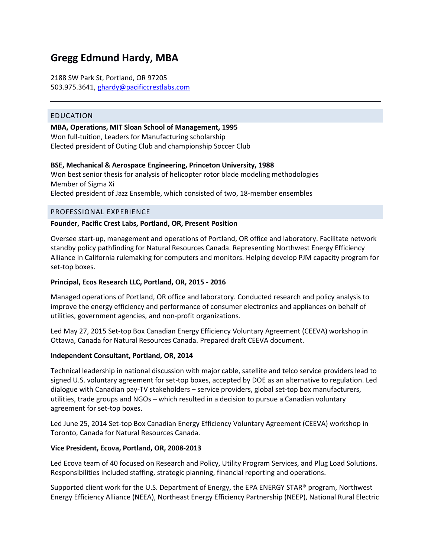# **Gregg Edmund Hardy, MBA**

2188 SW Park St, Portland, OR 97205 503.975.3641[, ghardy@pacificcrestlabs.com](mailto:ghardy@pacificcrestlabs.com)

#### EDUCATION

**MBA, Operations, MIT Sloan School of Management, 1995** Won full-tuition, Leaders for Manufacturing scholarship Elected president of Outing Club and championship Soccer Club

#### **BSE, Mechanical & Aerospace Engineering, Princeton University, 1988**

Won best senior thesis for analysis of helicopter rotor blade modeling methodologies Member of Sigma Xi Elected president of Jazz Ensemble, which consisted of two, 18-member ensembles

#### PROFESSIONAL EXPERIENCE

#### **Founder, Pacific Crest Labs, Portland, OR, Present Position**

Oversee start-up, management and operations of Portland, OR office and laboratory. Facilitate network standby policy pathfinding for Natural Resources Canada. Representing Northwest Energy Efficiency Alliance in California rulemaking for computers and monitors. Helping develop PJM capacity program for set-top boxes.

#### **Principal, Ecos Research LLC, Portland, OR, 2015 - 2016**

Managed operations of Portland, OR office and laboratory. Conducted research and policy analysis to improve the energy efficiency and performance of consumer electronics and appliances on behalf of utilities, government agencies, and non-profit organizations.

Led May 27, 2015 Set-top Box Canadian Energy Efficiency Voluntary Agreement (CEEVA) workshop in Ottawa, Canada for Natural Resources Canada. Prepared draft CEEVA document.

#### **Independent Consultant, Portland, OR, 2014**

Technical leadership in national discussion with major cable, satellite and telco service providers lead to signed U.S. voluntary agreement for set-top boxes, accepted by DOE as an alternative to regulation. Led dialogue with Canadian pay-TV stakeholders – service providers, global set-top box manufacturers, utilities, trade groups and NGOs – which resulted in a decision to pursue a Canadian voluntary agreement for set-top boxes.

Led June 25, 2014 Set-top Box Canadian Energy Efficiency Voluntary Agreement (CEEVA) workshop in Toronto, Canada for Natural Resources Canada.

#### **Vice President, Ecova, Portland, OR, 2008-2013**

Led Ecova team of 40 focused on Research and Policy, Utility Program Services, and Plug Load Solutions. Responsibilities included staffing, strategic planning, financial reporting and operations.

Supported client work for the U.S. Department of Energy, the EPA ENERGY STAR® program, Northwest Energy Efficiency Alliance (NEEA), Northeast Energy Efficiency Partnership (NEEP), National Rural Electric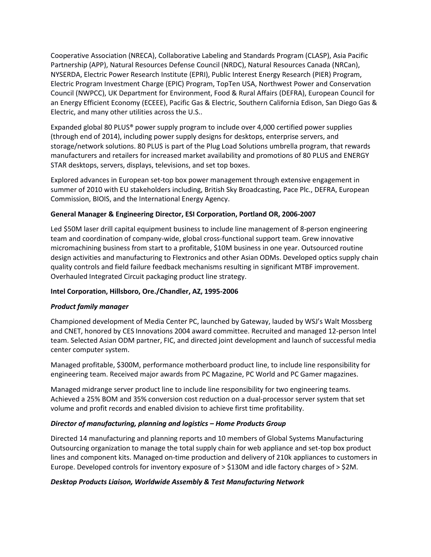Cooperative Association (NRECA), Collaborative Labeling and Standards Program (CLASP), Asia Pacific Partnership (APP), Natural Resources Defense Council (NRDC), Natural Resources Canada (NRCan), NYSERDA, Electric Power Research Institute (EPRI), Public Interest Energy Research (PIER) Program, Electric Program Investment Charge (EPIC) Program, TopTen USA, Northwest Power and Conservation Council (NWPCC), UK Department for Environment, Food & Rural Affairs (DEFRA), European Council for an Energy Efficient Economy (ECEEE), Pacific Gas & Electric, Southern California Edison, San Diego Gas & Electric, and many other utilities across the U.S..

Expanded global 80 PLUS® power supply program to include over 4,000 certified power supplies (through end of 2014), including power supply designs for desktops, enterprise servers, and storage/network solutions. 80 PLUS is part of the Plug Load Solutions umbrella program, that rewards manufacturers and retailers for increased market availability and promotions of 80 PLUS and ENERGY STAR desktops, servers, displays, televisions, and set top boxes.

Explored advances in European set-top box power management through extensive engagement in summer of 2010 with EU stakeholders including, British Sky Broadcasting, Pace Plc., DEFRA, European Commission, BIOIS, and the International Energy Agency.

# **General Manager & Engineering Director, ESI Corporation, Portland OR, 2006-2007**

Led \$50M laser drill capital equipment business to include line management of 8-person engineering team and coordination of company-wide, global cross-functional support team. Grew innovative micromachining business from start to a profitable, \$10M business in one year. Outsourced routine design activities and manufacturing to Flextronics and other Asian ODMs. Developed optics supply chain quality controls and field failure feedback mechanisms resulting in significant MTBF improvement. Overhauled Integrated Circuit packaging product line strategy.

## **Intel Corporation, Hillsboro, Ore./Chandler, AZ, 1995-2006**

## *Product family manager*

Championed development of Media Center PC, launched by Gateway, lauded by WSJ's Walt Mossberg and CNET, honored by CES Innovations 2004 award committee. Recruited and managed 12-person Intel team. Selected Asian ODM partner, FIC, and directed joint development and launch of successful media center computer system.

Managed profitable, \$300M, performance motherboard product line, to include line responsibility for engineering team. Received major awards from PC Magazine, PC World and PC Gamer magazines.

Managed midrange server product line to include line responsibility for two engineering teams. Achieved a 25% BOM and 35% conversion cost reduction on a dual-processor server system that set volume and profit records and enabled division to achieve first time profitability.

## *Director of manufacturing, planning and logistics – Home Products Group*

Directed 14 manufacturing and planning reports and 10 members of Global Systems Manufacturing Outsourcing organization to manage the total supply chain for web appliance and set-top box product lines and component kits. Managed on-time production and delivery of 210k appliances to customers in Europe. Developed controls for inventory exposure of > \$130M and idle factory charges of > \$2M.

## *Desktop Products Liaison, Worldwide Assembly & Test Manufacturing Network*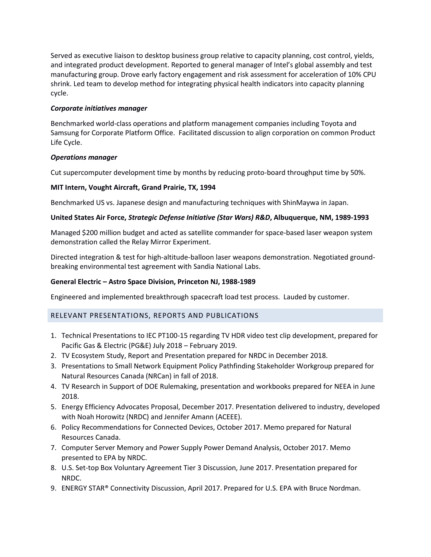Served as executive liaison to desktop business group relative to capacity planning, cost control, yields, and integrated product development. Reported to general manager of Intel's global assembly and test manufacturing group. Drove early factory engagement and risk assessment for acceleration of 10% CPU shrink. Led team to develop method for integrating physical health indicators into capacity planning cycle.

# *Corporate initiatives manager*

Benchmarked world-class operations and platform management companies including Toyota and Samsung for Corporate Platform Office. Facilitated discussion to align corporation on common Product Life Cycle.

# *Operations manager*

Cut supercomputer development time by months by reducing proto-board throughput time by 50%.

# **MIT Intern, Vought Aircraft, Grand Prairie, TX, 1994**

Benchmarked US vs. Japanese design and manufacturing techniques with ShinMaywa in Japan.

# **United States Air Force,** *Strategic Defense Initiative (Star Wars) R&D***, Albuquerque, NM, 1989-1993**

Managed \$200 million budget and acted as satellite commander for space-based laser weapon system demonstration called the Relay Mirror Experiment.

Directed integration & test for high-altitude-balloon laser weapons demonstration. Negotiated groundbreaking environmental test agreement with Sandia National Labs.

# **General Electric – Astro Space Division, Princeton NJ, 1988-1989**

Engineered and implemented breakthrough spacecraft load test process. Lauded by customer.

# RELEVANT PRESENTATIONS, REPORTS AND PUBLICATIONS

- 1. Technical Presentations to IEC PT100-15 regarding TV HDR video test clip development, prepared for Pacific Gas & Electric (PG&E) July 2018 – February 2019.
- 2. TV Ecosystem Study, Report and Presentation prepared for NRDC in December 2018.
- 3. Presentations to Small Network Equipment Policy Pathfinding Stakeholder Workgroup prepared for Natural Resources Canada (NRCan) in fall of 2018.
- 4. TV Research in Support of DOE Rulemaking, presentation and workbooks prepared for NEEA in June 2018.
- 5. Energy Efficiency Advocates Proposal, December 2017. Presentation delivered to industry, developed with Noah Horowitz (NRDC) and Jennifer Amann (ACEEE).
- 6. Policy Recommendations for Connected Devices, October 2017. Memo prepared for Natural Resources Canada.
- 7. Computer Server Memory and Power Supply Power Demand Analysis, October 2017. Memo presented to EPA by NRDC.
- 8. U.S. Set-top Box Voluntary Agreement Tier 3 Discussion, June 2017. Presentation prepared for NRDC.
- 9. ENERGY STAR® Connectivity Discussion, April 2017. Prepared for U.S. EPA with Bruce Nordman.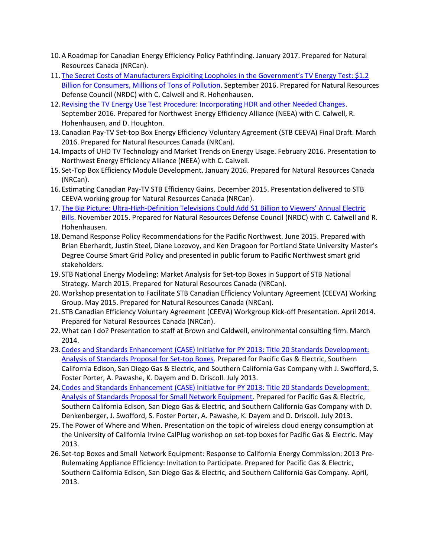- 10.A Roadmap for Canadian Energy Efficiency Policy Pathfinding. January 2017. Prepared for Natural Resources Canada (NRCan).
- 11.[The Secret Costs of Manufacturers Exploiting Loopholes in the Government's TV Energy Test: \\$1.2](https://www.nrdc.org/resources/secret-costs-manufacturers-exploiting-loopholes-governments-tv-energy-test)  [Billion for Consumers, Millions of Tons of Pollution.](https://www.nrdc.org/resources/secret-costs-manufacturers-exploiting-loopholes-governments-tv-energy-test) September 2016. Prepared for Natural Resources Defense Council (NRDC) with C. Calwell and R. Hohenhausen.
- 12[.Revising the TV Energy Use Test Procedure: Incorporating HDR and other Needed Changes.](https://neea.org/docs/default-source/reports/revising-the-tv-energy-use-test-procedure-incorporating-hdr-and-other-needed-changes.pdf?sfvrsn=8) September 2016. Prepared for Northwest Energy Efficiency Alliance (NEEA) with C. Calwell, R. Hohenhausen, and D. Houghton.
- 13.Canadian Pay-TV Set-top Box Energy Efficiency Voluntary Agreement (STB CEEVA) Final Draft. March 2016. Prepared for Natural Resources Canada (NRCan).
- 14.Impacts of UHD TV Technology and Market Trends on Energy Usage. February 2016. Presentation to Northwest Energy Efficiency Alliance (NEEA) with C. Calwell.
- 15. Set-Top Box Efficiency Module Development. January 2016. Prepared for Natural Resources Canada (NRCan).
- 16.Estimating Canadian Pay-TV STB Efficiency Gains. December 2015. Presentation delivered to STB CEEVA working group for Natural Resources Canada (NRCan).
- 17.The Big Picture: Ultra-High-[Definition Televisions Could Add \\$1 Billion to Viewers' Annual Electric](https://www.nrdc.org/sites/default/files/uhd-tv-energy-use-report.pdf)  [Bills.](https://www.nrdc.org/sites/default/files/uhd-tv-energy-use-report.pdf) November 2015. Prepared for Natural Resources Defense Council (NRDC) with C. Calwell and R. Hohenhausen.
- 18.Demand Response Policy Recommendations for the Pacific Northwest. June 2015. Prepared with Brian Eberhardt, Justin Steel, Diane Lozovoy, and Ken Dragoon for Portland State University Master's Degree Course Smart Grid Policy and presented in public forum to Pacific Northwest smart grid stakeholders.
- 19. STB National Energy Modeling: Market Analysis for Set-top Boxes in Support of STB National Strategy. March 2015. Prepared for Natural Resources Canada (NRCan).
- 20.Workshop presentation to Facilitate STB Canadian Efficiency Voluntary Agreement (CEEVA) Working Group. May 2015. Prepared for Natural Resources Canada (NRCan).
- 21. STB Canadian Efficiency Voluntary Agreement (CEEVA) Workgroup Kick-off Presentation. April 2014. Prepared for Natural Resources Canada (NRCan).
- 22.What can I do? Presentation to staff at Brown and Caldwell, environmental consulting firm. March 2014.
- 23[.Codes and Standards Enhancement \(CASE\) Initiative for PY 2013: Title 20 Standards Development:](https://www.google.com/url?sa=t&rct=j&q=&esrc=s&source=web&cd=1&cad=rja&uact=8&ved=0ahUKEwj0h--Rvv3KAhUXzmMKHeaLB0gQFggdMAA&url=http%3A%2F%2Fwww.energy.ca.gov%2Fappliances%2F2013rulemaking%2Fdocuments%2Fproposals%2F12-AAER-2A_Consumer_Electronics%2FCalifornia_IOUs_Response_to_the_Invitation_for_Standards_Proposals_for_Set_Top_Boxes_2013-07-29_TN-71759.pdf&usg=AFQjCNEl4nXcbTKKqrTZXhMXoH-UjfRWDA)  [Analysis of Standards Proposal for Set-top Boxes.](https://www.google.com/url?sa=t&rct=j&q=&esrc=s&source=web&cd=1&cad=rja&uact=8&ved=0ahUKEwj0h--Rvv3KAhUXzmMKHeaLB0gQFggdMAA&url=http%3A%2F%2Fwww.energy.ca.gov%2Fappliances%2F2013rulemaking%2Fdocuments%2Fproposals%2F12-AAER-2A_Consumer_Electronics%2FCalifornia_IOUs_Response_to_the_Invitation_for_Standards_Proposals_for_Set_Top_Boxes_2013-07-29_TN-71759.pdf&usg=AFQjCNEl4nXcbTKKqrTZXhMXoH-UjfRWDA) Prepared for Pacific Gas & Electric, Southern California Edison, San Diego Gas & Electric, and Southern California Gas Company with J. Swofford, S. Foster Porter, A. Pawashe, K. Dayem and D. Driscoll. July 2013.
- 24[.Codes and Standards Enhancement \(CASE\) Initiative for PY 2013: Title 20 Standards Development:](https://www.google.com/url?sa=t&rct=j&q=&esrc=s&source=web&cd=1&cad=rja&uact=8&ved=0ahUKEwibtquzvv3KAhVLzGMKHRIGA0gQFggcMAA&url=http%3A%2F%2Fwww.energy.ca.gov%2Fappliances%2F2013rulemaking%2Fdocuments%2Fproposals%2F12-AAER-2A_Consumer_Electronics%2FCalifornia_IOUs_Response_to_the_Invitation_for_Standards_Proposals_for_Small_Network_Equipment_2013-07-29_TN-71761.pdf&usg=AFQjCNG1t_5SAk6Kg2XQVA4nmzsU1Au7_Q&bvm=bv.114195076,d.cGc)  [Analysis of Standards Proposal for Small Network Equipment.](https://www.google.com/url?sa=t&rct=j&q=&esrc=s&source=web&cd=1&cad=rja&uact=8&ved=0ahUKEwibtquzvv3KAhVLzGMKHRIGA0gQFggcMAA&url=http%3A%2F%2Fwww.energy.ca.gov%2Fappliances%2F2013rulemaking%2Fdocuments%2Fproposals%2F12-AAER-2A_Consumer_Electronics%2FCalifornia_IOUs_Response_to_the_Invitation_for_Standards_Proposals_for_Small_Network_Equipment_2013-07-29_TN-71761.pdf&usg=AFQjCNG1t_5SAk6Kg2XQVA4nmzsU1Au7_Q&bvm=bv.114195076,d.cGc) Prepared for Pacific Gas & Electric, Southern California Edison, San Diego Gas & Electric, and Southern California Gas Company with D. Denkenberger, J. Swofford, S. Foster Porter, A. Pawashe, K. Dayem and D. Driscoll. July 2013.
- 25.The Power of Where and When. Presentation on the topic of wireless cloud energy consumption at the University of California Irvine CalPlug workshop on set-top boxes for Pacific Gas & Electric. May 2013.
- 26. Set-top Boxes and Small Network Equipment: Response to California Energy Commission: 2013 Pre-Rulemaking Appliance Efficiency: Invitation to Participate. Prepared for Pacific Gas & Electric, Southern California Edison, San Diego Gas & Electric, and Southern California Gas Company. April, 2013.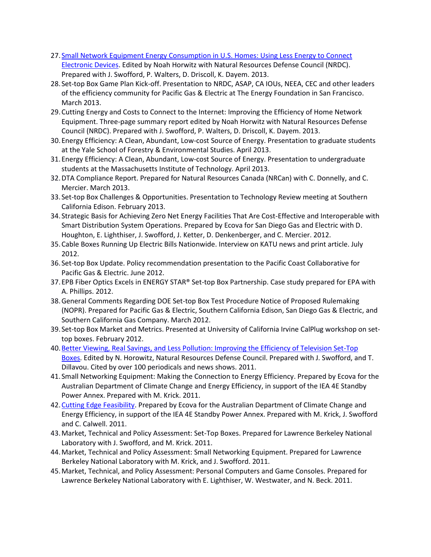- 27. [Small Network Equipment Energy Consumption in U.S. Homes: Using Less Energy to Connect](http://www.nrdc.org/energy/files/residential-network-IP.pdf)  [Electronic Devices.](http://www.nrdc.org/energy/files/residential-network-IP.pdf) Edited by Noah Horwitz with Natural Resources Defense Council (NRDC). Prepared with J. Swofford, P. Walters, D. Driscoll, K. Dayem. 2013.
- 28. Set-top Box Game Plan Kick-off. Presentation to NRDC, ASAP, CA IOUs, NEEA, CEC and other leaders of the efficiency community for Pacific Gas & Electric at The Energy Foundation in San Francisco. March 2013.
- 29.Cutting Energy and Costs to Connect to the Internet: Improving the Efficiency of Home Network Equipment. Three-page summary report edited by Noah Horwitz with Natural Resources Defense Council (NRDC). Prepared with J. Swofford, P. Walters, D. Driscoll, K. Dayem. 2013.
- 30.Energy Efficiency: A Clean, Abundant, Low-cost Source of Energy. Presentation to graduate students at the Yale School of Forestry & Environmental Studies. April 2013.
- 31.Energy Efficiency: A Clean, Abundant, Low-cost Source of Energy. Presentation to undergraduate students at the Massachusetts Institute of Technology. April 2013.
- 32.DTA Compliance Report. Prepared for Natural Resources Canada (NRCan) with C. Donnelly, and C. Mercier. March 2013.
- 33. Set-top Box Challenges & Opportunities. Presentation to Technology Review meeting at Southern California Edison. February 2013.
- 34. Strategic Basis for Achieving Zero Net Energy Facilities That Are Cost-Effective and Interoperable with Smart Distribution System Operations. Prepared by Ecova for San Diego Gas and Electric with D. Houghton, E. Lighthiser, J. Swofford, J. Ketter, D. Denkenberger, and C. Mercier. 2012.
- 35.Cable Boxes Running Up Electric Bills Nationwide. Interview on KATU news and print article. July 2012.
- 36. Set-top Box Update. Policy recommendation presentation to the Pacific Coast Collaborative for Pacific Gas & Electric. June 2012.
- 37. EPB Fiber Optics Excels in ENERGY STAR® Set-top Box Partnership. Case study prepared for EPA with A. Phillips. 2012.
- 38.General Comments Regarding DOE Set-top Box Test Procedure Notice of Proposed Rulemaking (NOPR). Prepared for Pacific Gas & Electric, Southern California Edison, San Diego Gas & Electric, and Southern California Gas Company. March 2012.
- 39. Set-top Box Market and Metrics. Presented at University of California Irvine CalPlug workshop on settop boxes. February 2012.
- 40[.Better Viewing, Real Savings, and Less Pollution: Improving the Efficiency of Television Set-Top](https://www.google.com/url?sa=t&rct=j&q=&esrc=s&source=web&cd=1&cad=rja&uact=8&ved=0ahUKEwiE3KHcvv3KAhVI6GMKHVzoAeQQFggdMAA&url=https%3A%2F%2Fwww.nrdc.org%2Fenergy%2Ffiles%2Fsettopboxes.pdf&usg=AFQjCNEDPfNqz7SpFK51zH75-HMlZiIjIA)  [Boxes.](https://www.google.com/url?sa=t&rct=j&q=&esrc=s&source=web&cd=1&cad=rja&uact=8&ved=0ahUKEwiE3KHcvv3KAhVI6GMKHVzoAeQQFggdMAA&url=https%3A%2F%2Fwww.nrdc.org%2Fenergy%2Ffiles%2Fsettopboxes.pdf&usg=AFQjCNEDPfNqz7SpFK51zH75-HMlZiIjIA) Edited by N. Horowitz, Natural Resources Defense Council. Prepared with J. Swofford, and T. Dillavou. Cited by over 100 periodicals and news shows. 2011.
- 41. Small Networking Equipment: Making the Connection to Energy Efficiency. Prepared by Ecova for the Australian Department of Climate Change and Energy Efficiency, in support of the IEA 4E Standby Power Annex. Prepared with M. Krick. 2011.
- 42[.Cutting Edge Feasibility.](https://www.google.com/url?sa=t&rct=j&q=&esrc=s&source=web&cd=1&cad=rja&uact=8&ved=0ahUKEwi45LWGvf3KAhUB2GMKHcu7DPYQFggdMAA&url=http%3A%2F%2Fstandby.iea-4e.org%2Ffiles%2Fotherfiles%2F0000%2F0043%2FAPP_Project_5_FINAL_report__1-7-11_.pdf&usg=AFQjCNHlnyOZpLme-D1gATwelVBuVCmKXQ) Prepared by Ecova for the Australian Department of Climate Change and Energy Efficiency, in support of the IEA 4E Standby Power Annex. Prepared with M. Krick, J. Swofford and C. Calwell. 2011.
- 43.Market, Technical and Policy Assessment: Set-Top Boxes. Prepared for Lawrence Berkeley National Laboratory with J. Swofford, and M. Krick. 2011.
- 44.Market, Technical and Policy Assessment: Small Networking Equipment. Prepared for Lawrence Berkeley National Laboratory with M. Krick, and J. Swofford. 2011.
- 45.Market, Technical, and Policy Assessment: Personal Computers and Game Consoles. Prepared for Lawrence Berkeley National Laboratory with E. Lighthiser, W. Westwater, and N. Beck. 2011.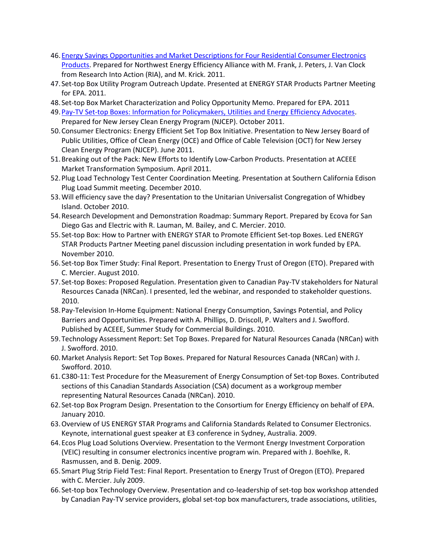- 46[.Energy Savings Opportunities and Market Descriptions for Four Residential Consumer Electronics](https://www.google.com/url?sa=t&rct=j&q=&esrc=s&source=web&cd=1&cad=rja&uact=8&ved=0ahUKEwj-ubuuvf3KAhVI52MKHZA9DQgQFggcMAA&url=http%3A%2F%2Fneea.org%2Fdocs%2Freports%2Fenergysavingsopportunitiesandmarketdescriptionsb136ac8e945a.pdf&usg=AFQjCNGa95FS2MabT6YAzrHl2Oc_Owxk8g&bvm=bv.114195076,d.cGc)  [Products.](https://www.google.com/url?sa=t&rct=j&q=&esrc=s&source=web&cd=1&cad=rja&uact=8&ved=0ahUKEwj-ubuuvf3KAhVI52MKHZA9DQgQFggcMAA&url=http%3A%2F%2Fneea.org%2Fdocs%2Freports%2Fenergysavingsopportunitiesandmarketdescriptionsb136ac8e945a.pdf&usg=AFQjCNGa95FS2MabT6YAzrHl2Oc_Owxk8g&bvm=bv.114195076,d.cGc) Prepared for Northwest Energy Efficiency Alliance with M. Frank, J. Peters, J. Van Clock from Research Into Action (RIA), and M. Krick. 2011.
- 47. Set-top Box Utility Program Outreach Update. Presented at ENERGY STAR Products Partner Meeting for EPA. 2011.
- 48. Set-top Box Market Characterization and Policy Opportunity Memo. Prepared for EPA. 2011
- 49[.Pay-TV Set-top Boxes: Information for Policymakers, Utilities and Energy Efficiency Advocates.](https://www.google.com/url?sa=t&rct=j&q=&esrc=s&source=web&cd=1&cad=rja&uact=8&ved=0ahUKEwjYovnyvv3KAhVU52MKHS0nCeMQFggcMAA&url=http%3A%2F%2Faceee.org%2Ffiles%2Fproceedings%2F2012%2Fdata%2Fpapers%2F0193-000294.pdf&usg=AFQjCNHJhkYvT9gQnUWjm4r8z6TL5FcCDQ&bvm=bv.114195076,d.cGc) Prepared for New Jersey Clean Energy Program (NJCEP). October 2011.
- 50.Consumer Electronics: Energy Efficient Set Top Box Initiative. Presentation to New Jersey Board of Public Utilities, Office of Clean Energy (OCE) and Office of Cable Television (OCT) for New Jersey Clean Energy Program (NJCEP). June 2011.
- 51.Breaking out of the Pack: New Efforts to Identify Low-Carbon Products. Presentation at ACEEE Market Transformation Symposium. April 2011.
- 52.Plug Load Technology Test Center Coordination Meeting. Presentation at Southern California Edison Plug Load Summit meeting. December 2010.
- 53.Will efficiency save the day? Presentation to the Unitarian Universalist Congregation of Whidbey Island. October 2010.
- 54.Research Development and Demonstration Roadmap: Summary Report. Prepared by Ecova for San Diego Gas and Electric with R. Lauman, M. Bailey, and C. Mercier. 2010.
- 55. Set-top Box: How to Partner with ENERGY STAR to Promote Efficient Set-top Boxes. Led ENERGY STAR Products Partner Meeting panel discussion including presentation in work funded by EPA. November 2010.
- 56. Set-top Box Timer Study: Final Report. Presentation to Energy Trust of Oregon (ETO). Prepared with C. Mercier. August 2010.
- 57. Set-top Boxes: Proposed Regulation. Presentation given to Canadian Pay-TV stakeholders for Natural Resources Canada (NRCan). I presented, led the webinar, and responded to stakeholder questions. 2010.
- 58.Pay-Television In-Home Equipment: National Energy Consumption, Savings Potential, and Policy Barriers and Opportunities. Prepared with A. Phillips, D. Driscoll, P. Walters and J. Swofford. Published by ACEEE, Summer Study for Commercial Buildings. 2010.
- 59.Technology Assessment Report: Set Top Boxes. Prepared for Natural Resources Canada (NRCan) with J. Swofford. 2010.
- 60.Market Analysis Report: Set Top Boxes. Prepared for Natural Resources Canada (NRCan) with J. Swofford. 2010.
- 61.C380-11: Test Procedure for the Measurement of Energy Consumption of Set-top Boxes. Contributed sections of this Canadian Standards Association (CSA) document as a workgroup member representing Natural Resources Canada (NRCan). 2010.
- 62. Set-top Box Program Design. Presentation to the Consortium for Energy Efficiency on behalf of EPA. January 2010.
- 63.Overview of US ENERGY STAR Programs and California Standards Related to Consumer Electronics. Keynote, international guest speaker at E3 conference in Sydney, Australia. 2009.
- 64.Ecos Plug Load Solutions Overview. Presentation to the Vermont Energy Investment Corporation (VEIC) resulting in consumer electronics incentive program win. Prepared with J. Boehlke, R. Rasmussen, and B. Denig. 2009.
- 65. Smart Plug Strip Field Test: Final Report. Presentation to Energy Trust of Oregon (ETO). Prepared with C. Mercier. July 2009.
- 66. Set-top box Technology Overview. Presentation and co-leadership of set-top box workshop attended by Canadian Pay-TV service providers, global set-top box manufacturers, trade associations, utilities,